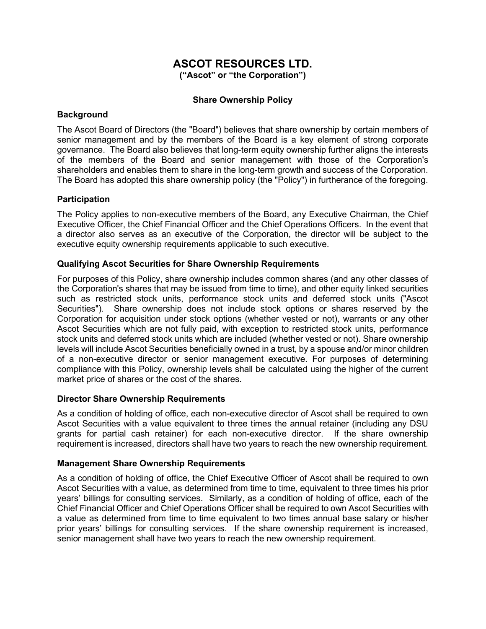# ASCOT RESOURCES LTD.

("Ascot" or "the Corporation")

# Share Ownership Policy

## **Background**

The Ascot Board of Directors (the "Board") believes that share ownership by certain members of senior management and by the members of the Board is a key element of strong corporate governance. The Board also believes that long-term equity ownership further aligns the interests of the members of the Board and senior management with those of the Corporation's shareholders and enables them to share in the long-term growth and success of the Corporation. The Board has adopted this share ownership policy (the "Policy") in furtherance of the foregoing.

## **Participation**

The Policy applies to non-executive members of the Board, any Executive Chairman, the Chief Executive Officer, the Chief Financial Officer and the Chief Operations Officers. In the event that a director also serves as an executive of the Corporation, the director will be subject to the executive equity ownership requirements applicable to such executive.

## Qualifying Ascot Securities for Share Ownership Requirements

For purposes of this Policy, share ownership includes common shares (and any other classes of the Corporation's shares that may be issued from time to time), and other equity linked securities such as restricted stock units, performance stock units and deferred stock units ("Ascot Securities"). Share ownership does not include stock options or shares reserved by the Corporation for acquisition under stock options (whether vested or not), warrants or any other Ascot Securities which are not fully paid, with exception to restricted stock units, performance stock units and deferred stock units which are included (whether vested or not). Share ownership levels will include Ascot Securities beneficially owned in a trust, by a spouse and/or minor children of a non-executive director or senior management executive. For purposes of determining compliance with this Policy, ownership levels shall be calculated using the higher of the current market price of shares or the cost of the shares.

#### Director Share Ownership Requirements

As a condition of holding of office, each non-executive director of Ascot shall be required to own Ascot Securities with a value equivalent to three times the annual retainer (including any DSU grants for partial cash retainer) for each non-executive director. If the share ownership requirement is increased, directors shall have two years to reach the new ownership requirement.

#### Management Share Ownership Requirements

As a condition of holding of office, the Chief Executive Officer of Ascot shall be required to own Ascot Securities with a value, as determined from time to time, equivalent to three times his prior years' billings for consulting services. Similarly, as a condition of holding of office, each of the Chief Financial Officer and Chief Operations Officer shall be required to own Ascot Securities with a value as determined from time to time equivalent to two times annual base salary or his/her prior years' billings for consulting services. If the share ownership requirement is increased, senior management shall have two years to reach the new ownership requirement.